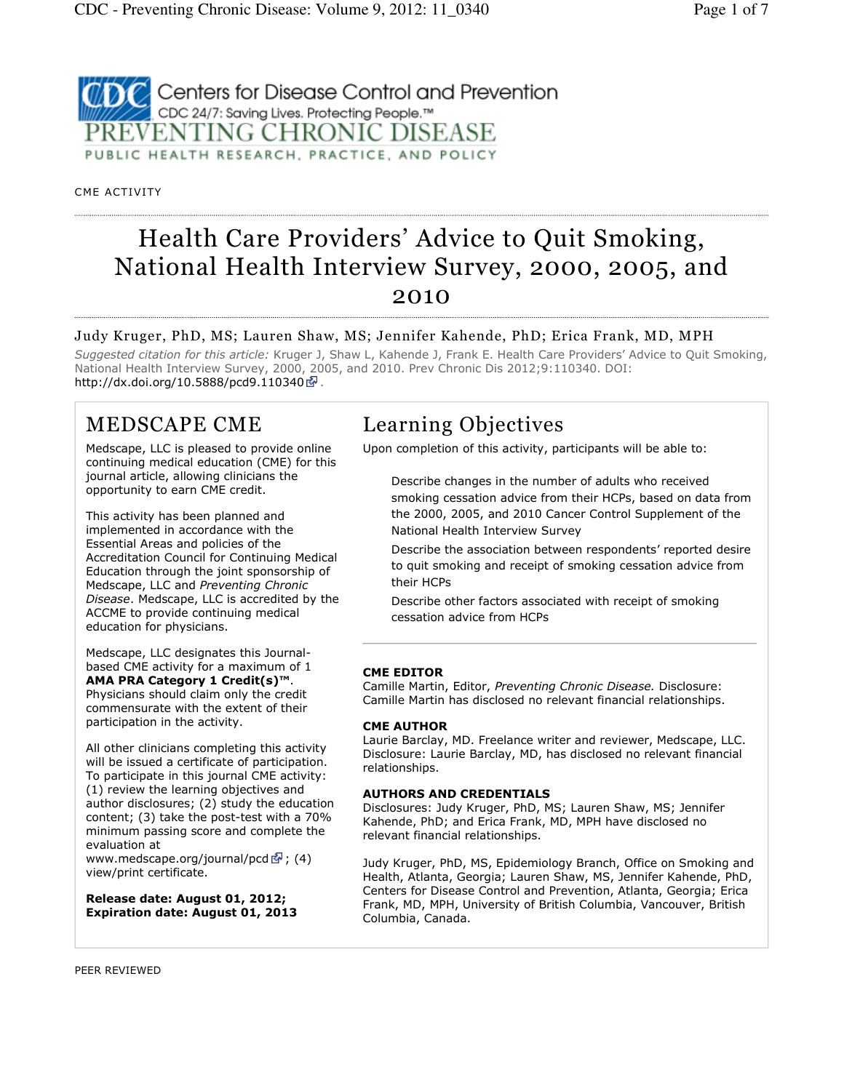### **2** Centers for Disease Control and Prevention CDC 24/7: Saving Lives. Protecting People.™ PREVENTING CHRONIC DISEASE PUBLIC HEALTH RESEARCH, PRACTICE, AND POLICY

CME ACTIVITY

# Health Care Providers' Advice to Quit Smoking, National Health Interview Survey, 2000, 2005, and 2010

### Judy Kruger, PhD, MS; Lauren Shaw, MS; Jennifer Kahende, PhD; Erica Frank, MD, MPH

Suggested citation for this article: Kruger J, Shaw L, Kahende J, Frank E. Health Care Providers' Advice to Quit Smoking, National Health Interview Survey, 2000, 2005, and 2010. Prev Chronic Dis 2012;9:110340. DOI: http://dx.doi.org/10.5888/pcd9.110340 .

### MEDSCAPE CME

Medscape, LLC is pleased to provide online continuing medical education (CME) for this journal article, allowing clinicians the opportunity to earn CME credit.

This activity has been planned and implemented in accordance with the Essential Areas and policies of the Accreditation Council for Continuing Medical Education through the joint sponsorship of Medscape, LLC and Preventing Chronic Disease. Medscape, LLC is accredited by the ACCME to provide continuing medical education for physicians.

Medscape, LLC designates this Journalbased CME activity for a maximum of 1 AMA PRA Category 1 Credit(s)™. Physicians should claim only the credit commensurate with the extent of their participation in the activity.

All other clinicians completing this activity will be issued a certificate of participation. To participate in this journal CME activity: (1) review the learning objectives and author disclosures; (2) study the education content; (3) take the post-test with a 70% minimum passing score and complete the evaluation at

www.medscape.org/journal/pcd  $\bar{S}$ ; (4) view/print certificate.

Release date: August 01, 2012; Expiration date: August 01, 2013

## Learning Objectives

Upon completion of this activity, participants will be able to:

Describe changes in the number of adults who received smoking cessation advice from their HCPs, based on data from the 2000, 2005, and 2010 Cancer Control Supplement of the National Health Interview Survey

Describe the association between respondents' reported desire to quit smoking and receipt of smoking cessation advice from their HCPs

Describe other factors associated with receipt of smoking cessation advice from HCPs

### CME EDITOR

Camille Martin, Editor, Preventing Chronic Disease. Disclosure: Camille Martin has disclosed no relevant financial relationships.

#### CME AUTHOR

Laurie Barclay, MD. Freelance writer and reviewer, Medscape, LLC. Disclosure: Laurie Barclay, MD, has disclosed no relevant financial relationships.

#### AUTHORS AND CREDENTIALS

Disclosures: Judy Kruger, PhD, MS; Lauren Shaw, MS; Jennifer Kahende, PhD; and Erica Frank, MD, MPH have disclosed no relevant financial relationships.

Judy Kruger, PhD, MS, Epidemiology Branch, Office on Smoking and Health, Atlanta, Georgia; Lauren Shaw, MS, Jennifer Kahende, PhD, Centers for Disease Control and Prevention, Atlanta, Georgia; Erica Frank, MD, MPH, University of British Columbia, Vancouver, British Columbia, Canada.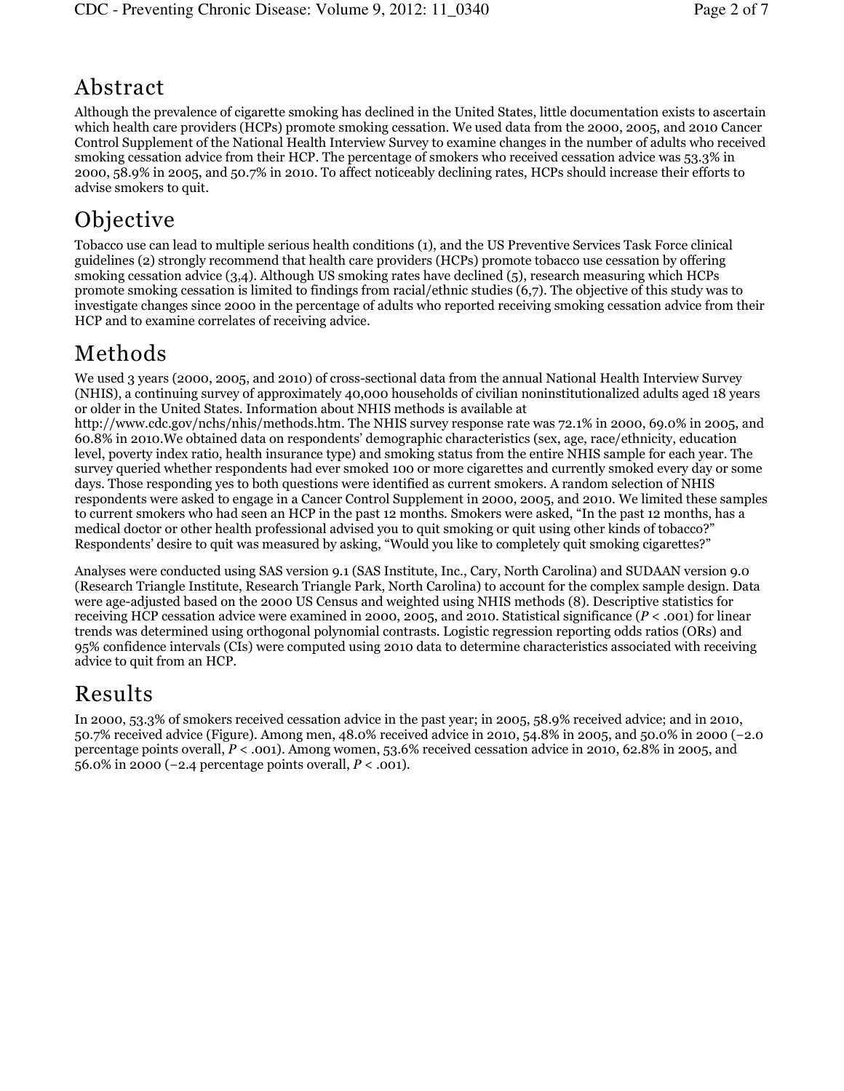## Abstract

Although the prevalence of cigarette smoking has declined in the United States, little documentation exists to ascertain which health care providers (HCPs) promote smoking cessation. We used data from the 2000, 2005, and 2010 Cancer Control Supplement of the National Health Interview Survey to examine changes in the number of adults who received smoking cessation advice from their HCP. The percentage of smokers who received cessation advice was 53.3% in 2000, 58.9% in 2005, and 50.7% in 2010. To affect noticeably declining rates, HCPs should increase their efforts to advise smokers to quit.

# **Objective**

Tobacco use can lead to multiple serious health conditions (1), and the US Preventive Services Task Force clinical guidelines (2) strongly recommend that health care providers (HCPs) promote tobacco use cessation by offering smoking cessation advice (3,4). Although US smoking rates have declined (5), research measuring which HCPs promote smoking cessation is limited to findings from racial/ethnic studies (6,7). The objective of this study was to investigate changes since 2000 in the percentage of adults who reported receiving smoking cessation advice from their HCP and to examine correlates of receiving advice.

## Methods

We used 3 years (2000, 2005, and 2010) of cross-sectional data from the annual National Health Interview Survey (NHIS), a continuing survey of approximately 40,000 households of civilian noninstitutionalized adults aged 18 years or older in the United States. Information about NHIS methods is available at

http://www.cdc.gov/nchs/nhis/methods.htm. The NHIS survey response rate was 72.1% in 2000, 69.0% in 2005, and 60.8% in 2010.We obtained data on respondents' demographic characteristics (sex, age, race/ethnicity, education level, poverty index ratio, health insurance type) and smoking status from the entire NHIS sample for each year. The survey queried whether respondents had ever smoked 100 or more cigarettes and currently smoked every day or some days. Those responding yes to both questions were identified as current smokers. A random selection of NHIS respondents were asked to engage in a Cancer Control Supplement in 2000, 2005, and 2010. We limited these samples to current smokers who had seen an HCP in the past 12 months. Smokers were asked, "In the past 12 months, has a medical doctor or other health professional advised you to quit smoking or quit using other kinds of tobacco?" Respondents' desire to quit was measured by asking, "Would you like to completely quit smoking cigarettes?"

Analyses were conducted using SAS version 9.1 (SAS Institute, Inc., Cary, North Carolina) and SUDAAN version 9.0 (Research Triangle Institute, Research Triangle Park, North Carolina) to account for the complex sample design. Data were age-adjusted based on the 2000 US Census and weighted using NHIS methods (8). Descriptive statistics for receiving HCP cessation advice were examined in 2000, 2005, and 2010. Statistical significance  $(P < .001)$  for linear trends was determined using orthogonal polynomial contrasts. Logistic regression reporting odds ratios (ORs) and 95% confidence intervals (CIs) were computed using 2010 data to determine characteristics associated with receiving advice to quit from an HCP.

## Results

In 2000, 53.3% of smokers received cessation advice in the past year; in 2005, 58.9% received advice; and in 2010, 50.7% received advice (Figure). Among men, 48.0% received advice in 2010, 54.8% in 2005, and 50.0% in 2000 (−2.0 percentage points overall,  $P < .001$ ). Among women, 53.6% received cessation advice in 2010, 62.8% in 2005, and 56.0% in 2000 (−2.4 percentage points overall,  $P < 0.001$ ).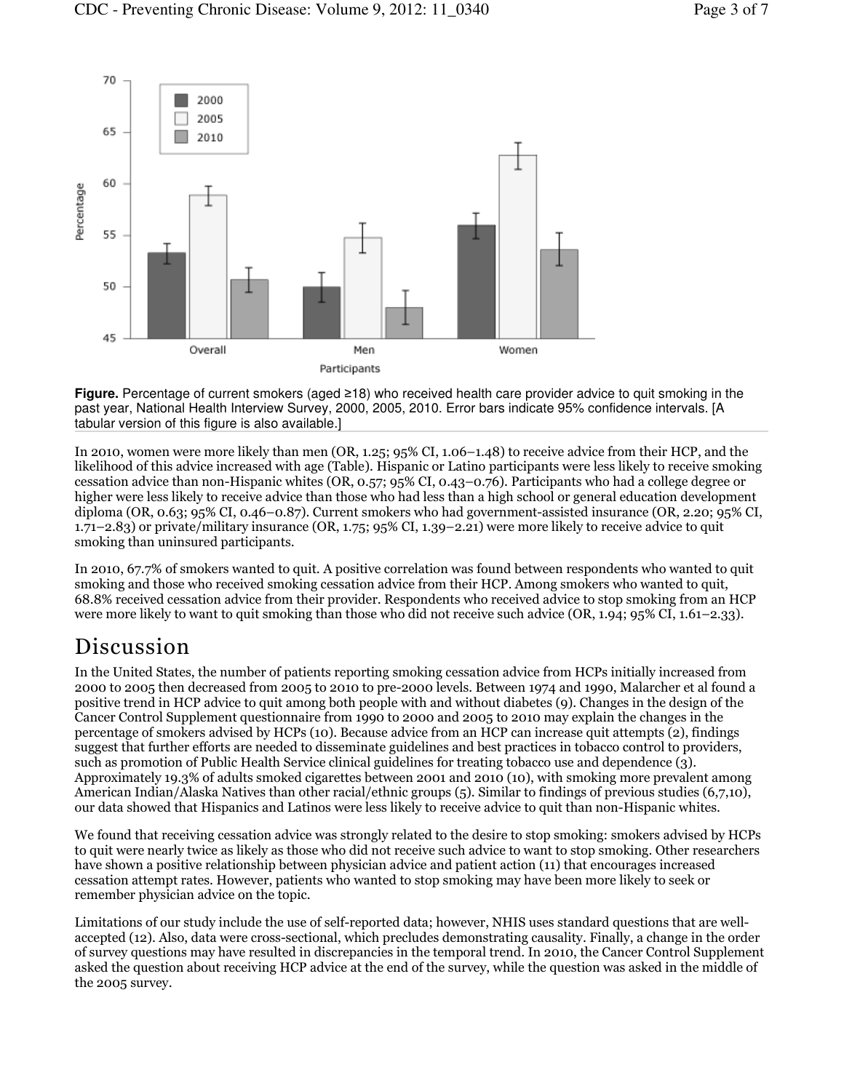

**Figure.** Percentage of current smokers (aged ≥18) who received health care provider advice to quit smoking in the past year, National Health Interview Survey, 2000, 2005, 2010. Error bars indicate 95% confidence intervals. [A tabular version of this figure is also available.]

In 2010, women were more likely than men (OR, 1.25; 95% CI, 1.06–1.48) to receive advice from their HCP, and the likelihood of this advice increased with age (Table). Hispanic or Latino participants were less likely to receive smoking cessation advice than non-Hispanic whites (OR, 0.57; 95% CI, 0.43–0.76). Participants who had a college degree or higher were less likely to receive advice than those who had less than a high school or general education development diploma (OR, 0.63; 95% CI, 0.46–0.87). Current smokers who had government-assisted insurance (OR, 2.20; 95% CI, 1.71–2.83) or private/military insurance (OR, 1.75; 95% CI, 1.39–2.21) were more likely to receive advice to quit smoking than uninsured participants.

In 2010, 67.7% of smokers wanted to quit. A positive correlation was found between respondents who wanted to quit smoking and those who received smoking cessation advice from their HCP. Among smokers who wanted to quit, 68.8% received cessation advice from their provider. Respondents who received advice to stop smoking from an HCP were more likely to want to quit smoking than those who did not receive such advice (OR, 1.94; 95% CI, 1.61–2.33).

## Discussion

In the United States, the number of patients reporting smoking cessation advice from HCPs initially increased from 2000 to 2005 then decreased from 2005 to 2010 to pre-2000 levels. Between 1974 and 1990, Malarcher et al found a positive trend in HCP advice to quit among both people with and without diabetes (9). Changes in the design of the Cancer Control Supplement questionnaire from 1990 to 2000 and 2005 to 2010 may explain the changes in the percentage of smokers advised by HCPs (10). Because advice from an HCP can increase quit attempts (2), findings suggest that further efforts are needed to disseminate guidelines and best practices in tobacco control to providers, such as promotion of Public Health Service clinical guidelines for treating tobacco use and dependence (3). Approximately 19.3% of adults smoked cigarettes between 2001 and 2010 (10), with smoking more prevalent among American Indian/Alaska Natives than other racial/ethnic groups (5). Similar to findings of previous studies (6,7,10), our data showed that Hispanics and Latinos were less likely to receive advice to quit than non-Hispanic whites.

We found that receiving cessation advice was strongly related to the desire to stop smoking: smokers advised by HCPs to quit were nearly twice as likely as those who did not receive such advice to want to stop smoking. Other researchers have shown a positive relationship between physician advice and patient action (11) that encourages increased cessation attempt rates. However, patients who wanted to stop smoking may have been more likely to seek or remember physician advice on the topic.

Limitations of our study include the use of self-reported data; however, NHIS uses standard questions that are wellaccepted (12). Also, data were cross-sectional, which precludes demonstrating causality. Finally, a change in the order of survey questions may have resulted in discrepancies in the temporal trend. In 2010, the Cancer Control Supplement asked the question about receiving HCP advice at the end of the survey, while the question was asked in the middle of the 2005 survey.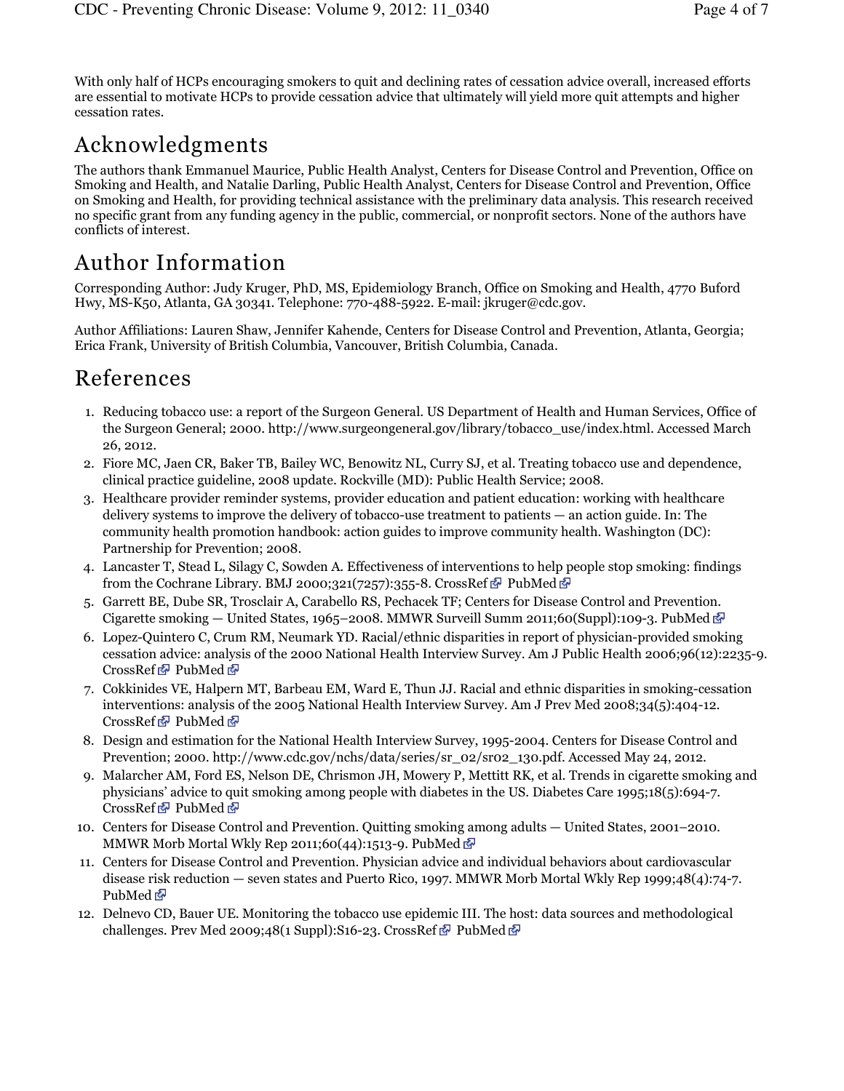With only half of HCPs encouraging smokers to quit and declining rates of cessation advice overall, increased efforts are essential to motivate HCPs to provide cessation advice that ultimately will yield more quit attempts and higher cessation rates.

# Acknowledgments

The authors thank Emmanuel Maurice, Public Health Analyst, Centers for Disease Control and Prevention, Office on Smoking and Health, and Natalie Darling, Public Health Analyst, Centers for Disease Control and Prevention, Office on Smoking and Health, for providing technical assistance with the preliminary data analysis. This research received no specific grant from any funding agency in the public, commercial, or nonprofit sectors. None of the authors have conflicts of interest.

# Author Information

Corresponding Author: Judy Kruger, PhD, MS, Epidemiology Branch, Office on Smoking and Health, 4770 Buford Hwy, MS-K50, Atlanta, GA 30341. Telephone: 770-488-5922. E-mail: jkruger@cdc.gov.

Author Affiliations: Lauren Shaw, Jennifer Kahende, Centers for Disease Control and Prevention, Atlanta, Georgia; Erica Frank, University of British Columbia, Vancouver, British Columbia, Canada.

## References

- 1. Reducing tobacco use: a report of the Surgeon General. US Department of Health and Human Services, Office of the Surgeon General; 2000. http://www.surgeongeneral.gov/library/tobacco\_use/index.html. Accessed March 26, 2012.
- Fiore MC, Jaen CR, Baker TB, Bailey WC, Benowitz NL, Curry SJ, et al. Treating tobacco use and dependence, 2. clinical practice guideline, 2008 update. Rockville (MD): Public Health Service; 2008.
- 3. Healthcare provider reminder systems, provider education and patient education: working with healthcare delivery systems to improve the delivery of tobacco-use treatment to patients — an action guide. In: The community health promotion handbook: action guides to improve community health. Washington (DC): Partnership for Prevention; 2008.
- Lancaster T, Stead L, Silagy C, Sowden A. Effectiveness of interventions to help people stop smoking: findings 4. from the Cochrane Library. BMJ 2000;321(7257):355-8. CrossRef PubMed P
- Garrett BE, Dube SR, Trosclair A, Carabello RS, Pechacek TF; Centers for Disease Control and Prevention. 5. Cigarette smoking — United States, 1965–2008. MMWR Surveill Summ 2011;60(Suppl):109-3. PubMed  $\Phi$
- 6. Lopez-Quintero C, Crum RM, Neumark YD. Racial/ethnic disparities in report of physician-provided smoking cessation advice: analysis of the 2000 National Health Interview Survey. Am J Public Health 2006;96(12):2235-9. CrossRef *d* PubMed d<sup>p</sup>
- Cokkinides VE, Halpern MT, Barbeau EM, Ward E, Thun JJ. Racial and ethnic disparities in smoking-cessation 7. interventions: analysis of the 2005 National Health Interview Survey. Am J Prev Med 2008;34(5):404-12. CrossRef *d* PubMed d<sup>p</sup>
- 8. Design and estimation for the National Health Interview Survey, 1995-2004. Centers for Disease Control and Prevention; 2000. http://www.cdc.gov/nchs/data/series/sr\_02/sr02\_130.pdf. Accessed May 24, 2012.
- 9. Malarcher AM, Ford ES, Nelson DE, Chrismon JH, Mowery P, Mettitt RK, et al. Trends in cigarette smoking and physicians' advice to quit smoking among people with diabetes in the US. Diabetes Care 1995;18(5):694-7. CrossRef *T* PubMed *T*
- Centers for Disease Control and Prevention. Quitting smoking among adults United States, 2001–2010. 10. MMWR Morb Mortal Wkly Rep 2011;60(44):1513-9. PubMed  $\bar{C}$
- Centers for Disease Control and Prevention. Physician advice and individual behaviors about cardiovascular 11. disease risk reduction — seven states and Puerto Rico, 1997. MMWR Morb Mortal Wkly Rep 1999;48(4):74-7. PubMed **P**
- 12. Delnevo CD, Bauer UE. Monitoring the tobacco use epidemic III. The host: data sources and methodological challenges. Prev Med 2009;48(1 Suppl):S16-23. CrossRef  $\bar{E}$  PubMed  $\bar{E}$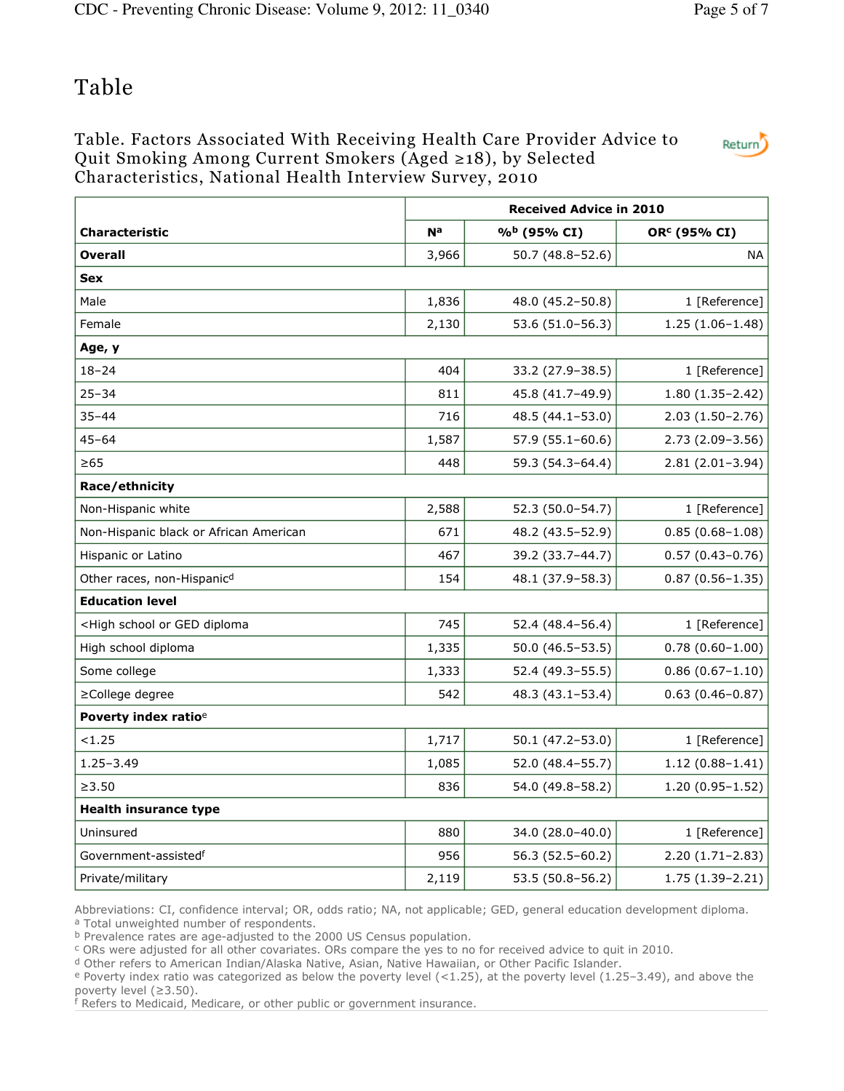## Table

### Table. Factors Associated With Receiving Health Care Provider Advice to Quit Smoking Among Current Smokers (Aged ≥18), by Selected Characteristics, National Health Interview Survey, 2010



|                                                                                                                   |       | <b>Received Advice in 2010</b> |                          |  |  |
|-------------------------------------------------------------------------------------------------------------------|-------|--------------------------------|--------------------------|--|--|
| <b>Characteristic</b>                                                                                             | Na    | % <sup>b</sup> (95% CI)        | OR <sup>c</sup> (95% CI) |  |  |
| <b>Overall</b>                                                                                                    | 3,966 | 50.7 (48.8-52.6)               | <b>NA</b>                |  |  |
| Sex                                                                                                               |       |                                |                          |  |  |
| Male                                                                                                              | 1,836 | 48.0 (45.2-50.8)               | 1 [Reference]            |  |  |
| Female                                                                                                            | 2,130 | 53.6 (51.0-56.3)               | $1.25(1.06-1.48)$        |  |  |
| Age, y                                                                                                            |       |                                |                          |  |  |
| $18 - 24$                                                                                                         | 404   | 33.2 (27.9-38.5)               | 1 [Reference]            |  |  |
| 25–34                                                                                                             | 811   | 45.8 (41.7-49.9)               | $1.80(1.35 - 2.42)$      |  |  |
| $35 - 44$                                                                                                         | 716   | 48.5 (44.1-53.0)               | $2.03(1.50-2.76)$        |  |  |
| $45 - 64$                                                                                                         | 1,587 | $57.9(55.1-60.6)$              | $2.73(2.09-3.56)$        |  |  |
| $\geq 65$                                                                                                         | 448   | 59.3 (54.3-64.4)               | $2.81(2.01-3.94)$        |  |  |
| Race/ethnicity                                                                                                    |       |                                |                          |  |  |
| Non-Hispanic white                                                                                                | 2,588 | 52.3 (50.0-54.7)               | 1 [Reference]            |  |  |
| Non-Hispanic black or African American                                                                            | 671   | 48.2 (43.5-52.9)               | $0.85(0.68 - 1.08)$      |  |  |
| Hispanic or Latino                                                                                                | 467   | 39.2 (33.7-44.7)               | $0.57(0.43 - 0.76)$      |  |  |
| Other races, non-Hispanicd                                                                                        | 154   | 48.1 (37.9-58.3)               | $0.87(0.56 - 1.35)$      |  |  |
| <b>Education level</b>                                                                                            |       |                                |                          |  |  |
| <high diploma<="" ged="" or="" school="" td=""><td>745</td><td>52.4 (48.4-56.4)</td><td>1 [Reference]</td></high> | 745   | 52.4 (48.4-56.4)               | 1 [Reference]            |  |  |
| High school diploma                                                                                               | 1,335 | $50.0(46.5-53.5)$              | $0.78(0.60 - 1.00)$      |  |  |
| Some college                                                                                                      | 1,333 | 52.4 (49.3–55.5)               | $0.86(0.67 - 1.10)$      |  |  |
| ≥College degree                                                                                                   | 542   | 48.3 (43.1-53.4)               | $0.63(0.46 - 0.87)$      |  |  |
| Poverty index ratio <sup>e</sup>                                                                                  |       |                                |                          |  |  |
| < 1.25                                                                                                            | 1,717 | $50.1(47.2 - 53.0)$            | 1 [Reference]            |  |  |
| $1.25 - 3.49$                                                                                                     | 1,085 | 52.0 (48.4-55.7)               | $1.12(0.88 - 1.41)$      |  |  |
| $\geq 3.50$                                                                                                       | 836   | 54.0 (49.8-58.2)               | $1.20(0.95 - 1.52)$      |  |  |
| <b>Health insurance type</b>                                                                                      |       |                                |                          |  |  |
| Uninsured                                                                                                         | 880   | 34.0 (28.0-40.0)               | 1 [Reference]            |  |  |
| Government-assisted <sup>f</sup>                                                                                  | 956   | 56.3 (52.5-60.2)               | $2.20(1.71-2.83)$        |  |  |
| Private/military                                                                                                  | 2,119 | 53.5 (50.8-56.2)               | $1.75(1.39-2.21)$        |  |  |

Abbreviations: CI, confidence interval; OR, odds ratio; NA, not applicable; GED, general education development diploma. a Total unweighted number of respondents.

**b** Prevalence rates are age-adjusted to the 2000 US Census population.

<sup>c</sup> ORs were adjusted for all other covariates. ORs compare the yes to no for received advice to quit in 2010.

<sup>d</sup> Other refers to American Indian/Alaska Native, Asian, Native Hawaiian, or Other Pacific Islander.

 $e$  Poverty index ratio was categorized as below the poverty level (<1.25), at the poverty level (1.25–3.49), and above the poverty level (≥3.50).

f Refers to Medicaid, Medicare, or other public or government insurance.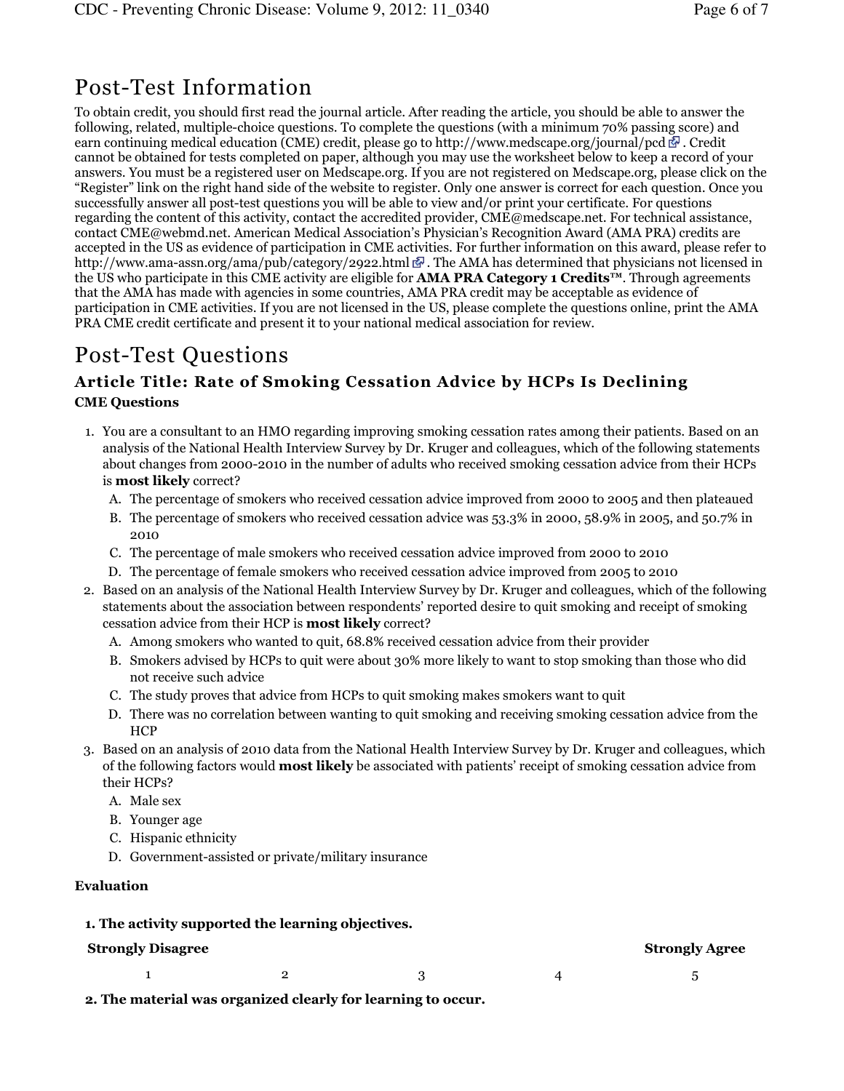## Post-Test Information

To obtain credit, you should first read the journal article. After reading the article, you should be able to answer the following, related, multiple-choice questions. To complete the questions (with a minimum 70% passing score) and earn continuing medical education (CME) credit, please go to http://www.medscape.org/journal/pcd  $\mathbb{F}$ . Credit cannot be obtained for tests completed on paper, although you may use the worksheet below to keep a record of your answers. You must be a registered user on Medscape.org. If you are not registered on Medscape.org, please click on the "Register" link on the right hand side of the website to register. Only one answer is correct for each question. Once you successfully answer all post-test questions you will be able to view and/or print your certificate. For questions regarding the content of this activity, contact the accredited provider, CME@medscape.net. For technical assistance, contact CME@webmd.net. American Medical Association's Physician's Recognition Award (AMA PRA) credits are accepted in the US as evidence of participation in CME activities. For further information on this award, please refer to http://www.ama-assn.org/ama/pub/category/2922.html  $\mathbb{F}$ . The AMA has determined that physicians not licensed in the US who participate in this CME activity are eligible for **AMA PRA Category 1 Credits™**. Through agreements that the AMA has made with agencies in some countries, AMA PRA credit may be acceptable as evidence of participation in CME activities. If you are not licensed in the US, please complete the questions online, print the AMA PRA CME credit certificate and present it to your national medical association for review.

## Post-Test Questions

### Article Title: Rate of Smoking Cessation Advice by HCPs Is Declining CME Questions

- 1. You are a consultant to an HMO regarding improving smoking cessation rates among their patients. Based on an analysis of the National Health Interview Survey by Dr. Kruger and colleagues, which of the following statements about changes from 2000-2010 in the number of adults who received smoking cessation advice from their HCPs is most likely correct?
	- A. The percentage of smokers who received cessation advice improved from 2000 to 2005 and then plateaued
	- B. The percentage of smokers who received cessation advice was 53.3% in 2000, 58.9% in 2005, and 50.7% in 2010
	- C. The percentage of male smokers who received cessation advice improved from 2000 to 2010
	- D. The percentage of female smokers who received cessation advice improved from 2005 to 2010
- 2. Based on an analysis of the National Health Interview Survey by Dr. Kruger and colleagues, which of the following statements about the association between respondents' reported desire to quit smoking and receipt of smoking cessation advice from their HCP is most likely correct?
	- A. Among smokers who wanted to quit, 68.8% received cessation advice from their provider
	- B. Smokers advised by HCPs to quit were about 30% more likely to want to stop smoking than those who did not receive such advice
	- C. The study proves that advice from HCPs to quit smoking makes smokers want to quit
	- D. There was no correlation between wanting to quit smoking and receiving smoking cessation advice from the **HCP**
- Based on an analysis of 2010 data from the National Health Interview Survey by Dr. Kruger and colleagues, which 3. of the following factors would **most likely** be associated with patients' receipt of smoking cessation advice from their HCPs?
	- A. Male sex
	- B. Younger age
	- C. Hispanic ethnicity
	- D. Government-assisted or private/military insurance

### Evaluation

### 1. The activity supported the learning objectives.

### Strongly Disagree Strongly Agree Strongly Agree

| $1 \qquad \qquad 2 \qquad \qquad 3 \qquad \qquad 4 \qquad \qquad 5$ |  |  |
|---------------------------------------------------------------------|--|--|
|                                                                     |  |  |

2. The material was organized clearly for learning to occur.